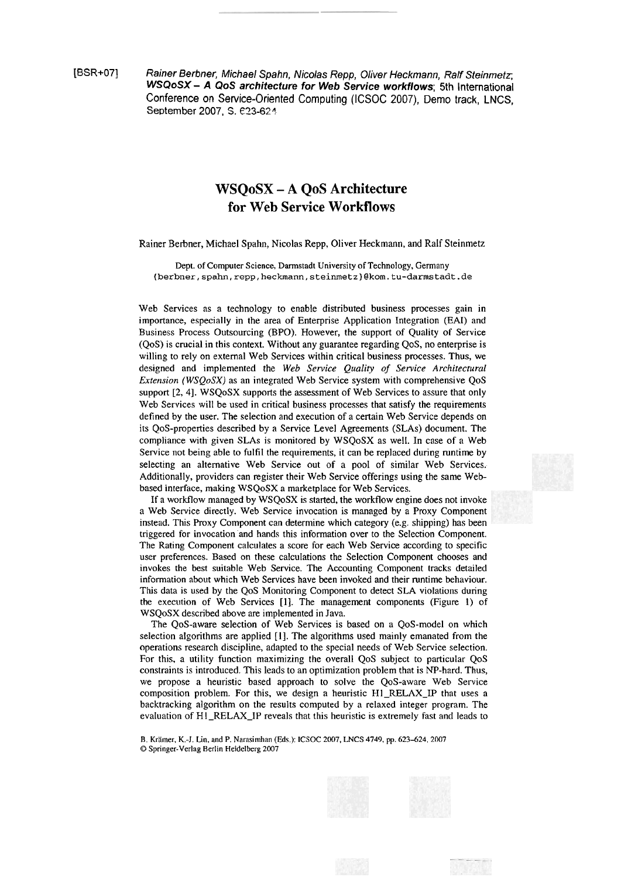[BSR+071 **Rainer** Berbner, Michael Spahn, Nicolas Repp, Oliver Heckmann, Ralf Steinmetz; **WSQoSX** - <sup>A</sup>**QoS architecture for Web Service workflows; 5th** International Conference on Service-Oriented Computing **(ICSOC** 2007), Demo track, LNCS, September 2007, **S.** *C23-62"* 

## **WSQoSX** - **A QoS Architecture for Web Service Workflows**

Rainer Berbner, Michael Spahn, Nicolas Repp, Oliver Heckmann, and Ralf Steinmetz

Dept. of Computer Science, Darmstadt University of Technology, Germany **~berbner,spahn,repp,heckmann,steinmetz)@kom.tu-darmstadt.de** 

Web Services as a technology to enable distributed business processes gain in importance, especially in the area of Enterprise Application Integration (EAI) and Business Process Outsourcing (BPO). However, the support of Quality of Service (QoS) is crucial in this context. Without any guarantee regarding QoS, no enterprise is willing to rely on extemal Web Services within critical business processes. Thus, we designed and implemented the *Web Service Quality of Service Architectural Extension (WSQoSX)* as an integrated Web Service system with comprehensive QoS support **[2,4].** WSQoSX supports the assessment of Web Services to assure that only Web Services will be used in critical business processes that satisfy the requirements defined by the user. The selection and execution of a certain Web Service depends on its QoS-properties described by a Service Level Agreements (SLAs) document. The compliance with given SLAs is monitored by WSQoSX as well. In case of a Web Service not being able to fulfil the requirements, it can be replaced during runtime by selecting an alternative Web Service out of a pool of similar Web Services. Additionally, providers can register their Web Service offerings using the same Webbased interface, making WSQoSX a marketplace for Web Services.

If a workflow managed by WSQoSX is started, the workflow engine does not invoke a Web Service directly. Web Service invocation is managed by a Proxy Component instead. This Proxy Component can determine which category (e.g. shipping) has been triggered for invocation and hands this information over to the Selection Component. The Rating Component calculates a score for each Web Service according to specific user preferences. Based on these calculations the Selection Component chooses and invokes the best suitable Web Service. The Accounting Component tracks detailed information about which Web Services have been invoked and their runtime behaviour. This data is used by the QoS Monitoring Component to detect SLA violations during the execution of Web Services [I]. The management components (Figure 1) of WSQoSX described above are implemented in Java.

The QoS-aware selection of Web Services is based on a QoS-model on which selection algorithms are applied [I]. The algorithms used mainly emanated from the operations research discipline, adapted to the special needs of Web Service selection. For this, a utility function maximizing the overall QoS subject to particular QoS constraints is introduced. This leads to an optimization problem that is NP-hard. Thus, we propose a heuristic based approach to solve the QoS-aware Web Service composition problem. For this, we design a heuristic HI-RELAX-IP that uses a backtracking algorithm on the results computed by a relaxed integer program. The evaluation of HI-RELAX-IP reveals that this heuristic is extremely fast and leads to

B. Krämer, K.-J. Lin, and P. Narasimhan (Eds.): ICSOC 2007, LNCS 4749, pp. 623-624, 2007 0 Springer-Verlag Berlin Heidelberg 2007